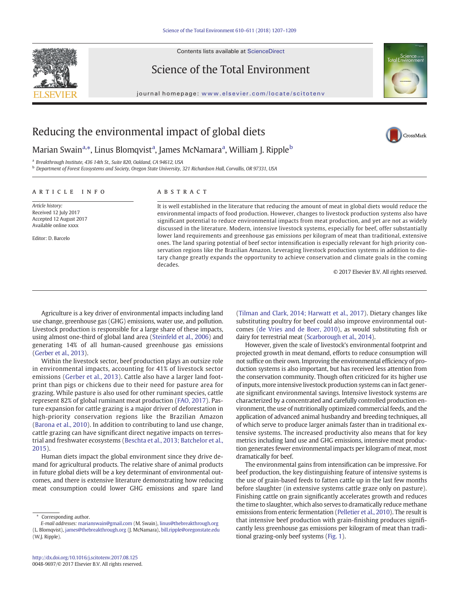Contents lists available at ScienceDirect



Science of the Total Environment

journal homepage: <www.elsevier.com/locate/scitotenv>



CrossMark

# Reducing the environmental impact of global diets

Marian Swain<sup>a,</sup>\*, Linus Blomqvist<sup>a</sup>, James McNamara<sup>a</sup>, William J. Ripple<sup>b</sup>

<sup>a</sup> Breakthrough Institute, 436 14th St., Suite 820, Oakland, CA 94612, USA

<sup>b</sup> Department of Forest Ecosystems and Society, Oregon State University, 321 Richardson Hall, Corvallis, OR 97331, USA

# article info abstract

Article history: Received 12 July 2017 Accepted 12 August 2017 Available online xxxx

Editor: D. Barcelo

It is well established in the literature that reducing the amount of meat in global diets would reduce the environmental impacts of food production. However, changes to livestock production systems also have significant potential to reduce environmental impacts from meat production, and yet are not as widely discussed in the literature. Modern, intensive livestock systems, especially for beef, offer substantially lower land requirements and greenhouse gas emissions per kilogram of meat than traditional, extensive ones. The land sparing potential of beef sector intensification is especially relevant for high priority conservation regions like the Brazilian Amazon. Leveraging livestock production systems in addition to dietary change greatly expands the opportunity to achieve conservation and climate goals in the coming decades.

© 2017 Elsevier B.V. All rights reserved.

Agriculture is a key driver of environmental impacts including land use change, greenhouse gas (GHG) emissions, water use, and pollution. Livestock production is responsible for a large share of these impacts, using almost one-third of global land area ([Steinfeld et al., 2006](#page-2-0)) and generating 14% of all human-caused greenhouse gas emissions [\(Gerber et al., 2013\)](#page-2-0).

Within the livestock sector, beef production plays an outsize role in environmental impacts, accounting for 41% of livestock sector emissions ([Gerber et al., 2013\)](#page-2-0). Cattle also have a larger land footprint than pigs or chickens due to their need for pasture area for grazing. While pasture is also used for other ruminant species, cattle represent 82% of global ruminant meat production [\(FAO, 2017\)](#page-2-0). Pasture expansion for cattle grazing is a major driver of deforestation in high-priority conservation regions like the Brazilian Amazon [\(Barona et al., 2010\)](#page-2-0). In addition to contributing to land use change, cattle grazing can have significant direct negative impacts on terrestrial and freshwater ecosystems [\(Beschta et al., 2013; Batchelor et al.,](#page-2-0) [2015](#page-2-0)).

Human diets impact the global environment since they drive demand for agricultural products. The relative share of animal products in future global diets will be a key determinant of environmental outcomes, and there is extensive literature demonstrating how reducing meat consumption could lower GHG emissions and spare land

Corresponding author.

[\(Tilman and Clark, 2014; Harwatt et al., 2017\)](#page-2-0). Dietary changes like substituting poultry for beef could also improve environmental outcomes ([de Vries and de Boer, 2010](#page-2-0)), as would substituting fish or dairy for terrestrial meat [\(Scarborough et al., 2014\)](#page-2-0).

However, given the scale of livestock's environmental footprint and projected growth in meat demand, efforts to reduce consumption will not suffice on their own. Improving the environmental efficiency of production systems is also important, but has received less attention from the conservation community. Though often criticized for its higher use of inputs, more intensive livestock production systems can in fact generate significant environmental savings. Intensive livestock systems are characterized by a concentrated and carefully controlled production environment, the use of nutritionally optimized commercial feeds, and the application of advanced animal husbandry and breeding techniques, all of which serve to produce larger animals faster than in traditional extensive systems. The increased productivity also means that for key metrics including land use and GHG emissions, intensive meat production generates fewer environmental impacts per kilogram of meat, most dramatically for beef.

The environmental gains from intensification can be impressive. For beef production, the key distinguishing feature of intensive systems is the use of grain-based feeds to fatten cattle up in the last few months before slaughter (in extensive systems cattle graze only on pasture). Finishing cattle on grain significantly accelerates growth and reduces the time to slaughter, which also serves to dramatically reduce methane emissions from enteric fermentation ([Pelletier et al., 2010](#page-2-0)). The result is that intensive beef production with grain-finishing produces significantly less greenhouse gas emissions per kilogram of meat than traditional grazing-only beef systems [\(Fig. 1\)](#page-1-0).

E-mail addresses: marianswain@gmail.com (M. Swain), linus@thebreakthrough.org

<sup>(</sup>L. Blomqvist), james@thebreakthrough.org (J. McNamara), [bill.ripple@oregonstate.edu](mailto:bill.ripple@oregonstate.edu) (W.J. Ripple).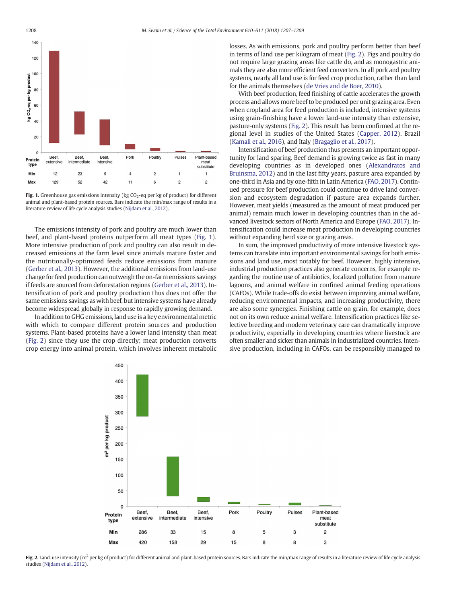<span id="page-1-0"></span>

Fig. 1. Greenhouse gas emissions intensity (kg  $CO<sub>2</sub>$ -eq per kg of product) for different animal and plant-based protein sources. Bars indicate the min/max range of results in a literature review of life cycle analysis studies ([Nijdam et al., 2012\)](#page-2-0).

The emissions intensity of pork and poultry are much lower than beef, and plant-based proteins outperform all meat types (Fig. 1). More intensive production of pork and poultry can also result in decreased emissions at the farm level since animals mature faster and the nutritionally-optimized feeds reduce emissions from manure [\(Gerber et al., 2013](#page-2-0)). However, the additional emissions from land-use change for feed production can outweigh the on-farm emissions savings if feeds are sourced from deforestation regions [\(Gerber et al., 2013](#page-2-0)). Intensification of pork and poultry production thus does not offer the same emissions savings as with beef, but intensive systems have already become widespread globally in response to rapidly growing demand.

In addition to GHG emissions, land use is a key environmental metric with which to compare different protein sources and production systems. Plant-based proteins have a lower land intensity than meat (Fig. 2) since they use the crop directly; meat production converts crop energy into animal protein, which involves inherent metabolic losses. As with emissions, pork and poultry perform better than beef in terms of land use per kilogram of meat (Fig. 2). Pigs and poultry do not require large grazing areas like cattle do, and as monogastric animals they are also more efficient feed converters. In all pork and poultry systems, nearly all land use is for feed crop production, rather than land for the animals themselves ([de Vries and de Boer, 2010\)](#page-2-0).

With beef production, feed finishing of cattle accelerates the growth process and allows more beef to be produced per unit grazing area. Even when cropland area for feed production is included, intensive systems using grain-finishing have a lower land-use intensity than extensive, pasture-only systems (Fig. 2). This result has been confirmed at the regional level in studies of the United States [\(Capper, 2012\)](#page-2-0), Brazil [\(Kamali et al., 2016](#page-2-0)), and Italy [\(Bragaglio et al., 2017\)](#page-2-0).

Intensification of beef production thus presents an important opportunity for land sparing. Beef demand is growing twice as fast in many developing countries as in developed ones ([Alexandratos and](#page-2-0) [Bruinsma, 2012\)](#page-2-0) and in the last fifty years, pasture area expanded by one-third in Asia and by one-fifth in Latin America [\(FAO, 2017](#page-2-0)). Continued pressure for beef production could continue to drive land conversion and ecosystem degradation if pasture area expands further. However, meat yields (measured as the amount of meat produced per animal) remain much lower in developing countries than in the advanced livestock sectors of North America and Europe ([FAO, 2017](#page-2-0)). Intensification could increase meat production in developing countries without expanding herd size or grazing areas.

In sum, the improved productivity of more intensive livestock systems can translate into important environmental savings for both emissions and land use, most notably for beef. However, highly intensive, industrial production practices also generate concerns, for example regarding the routine use of antibiotics, localized pollution from manure lagoons, and animal welfare in confined animal feeding operations (CAFOs). While trade-offs do exist between improving animal welfare, reducing environmental impacts, and increasing productivity, there are also some synergies. Finishing cattle on grain, for example, does not on its own reduce animal welfare. Intensification practices like selective breeding and modern veterinary care can dramatically improve productivity, especially in developing countries where livestock are often smaller and sicker than animals in industrialized countries. Intensive production, including in CAFOs, can be responsibly managed to



Fig. 2. Land-use intensity ( $m^2$  per kg of product) for different animal and plant-based protein sources. Bars indicate the min/max range of results in a literature review of life cycle analysis studies [\(Nijdam et al., 2012](#page-2-0)).